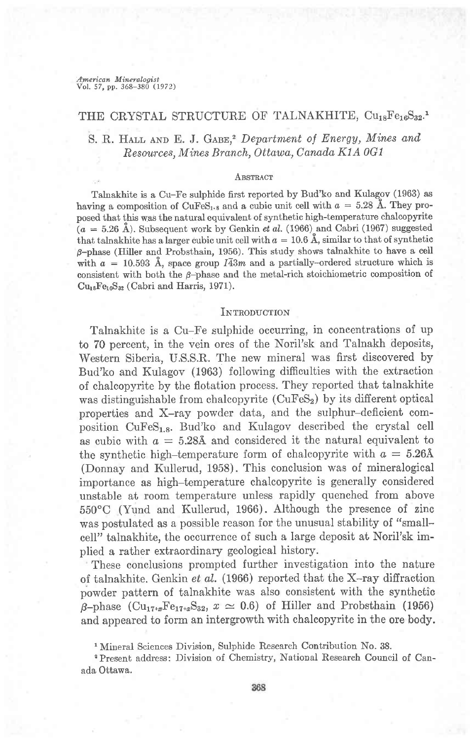American Mineralogist Vol. 57, pp. 368-380 (1972)

# THE CRYSTAL STRUCTURE OF TALNAKHITE, Cu<sub>18</sub>Fe<sub>16</sub>S<sub>32</sub>.'

S. R. HALL AND E. J. GABE,<sup>2</sup> Department of Energy, Mines and Resources, Mines Branch, Ottawa, Canada K1A 0G1

### **ABSTRACT**

Talnakhite is a Cu-Fe sulphide first reported by Bud'ko and Kulagov (1963) as having a composition of CuFeS<sub>1</sub>, and a cubic unit cell with  $a = 5.28$  Å. They proposed that this was the natural equivalent of synthetic high-temperature chalcopyrite  $(a = 5.26 \text{ Å})$ . Subsequent work by Genkin et al. (1966) and Cabri (1967) suggested that talnakhite has a larger cubic unit cell with  $a = 10.6$  Å, similar to that of synthetic  $\beta$ -phase (Hiller and Probsthain, 1956). This study shows talnakhite to have a cell with  $a = 10.593$  Å, space group  $I\overline{4}3m$  and a partially-ordered structure which is consistent with both the  $\beta$ -phase and the metal-rich stoichiometric composition of  $Cu<sub>18</sub>Fe<sub>16</sub>S<sub>32</sub>$  (Cabri and Harris, 1971).

## INTRODUCTION

Talnakhite is a Cu-Fe sulphide occurring, in concentrations of up to 70 percent, in the vein ores of the Noril'sk and Talnakh deposits, Western Siberia, U.S.S.R. The new mineral was first discovered by Bud'ko and Kulagov (1963) following difficulties with the extraction of chalcopyrite by the flotation process. They reported that talnakhite was distinguishable from chalcopyrite  $(CuFeS<sub>2</sub>)$  by its different optical properties and X-ray powder data, and the sulphur-deficient composition CuFeS<sub>1.8</sub>. Bud'ko and Kulagov described the crystal cell as cubic with  $a = 5.28$ Å and considered it the natural equivalent to the synthetic high-temperature form of chalcopyrite with  $a = 5.26$ Å (Donnay and Kullerud, 1958). This conclusion was of mineralogical importance as high-temperature chalcopyrite is generally considered unstable at room temperature unless rapidly quenched from above 550'C (Yund and Kullerud, 1966). Although the presence of zinc was postulated as a possible reason for the unusual stability of "smallcell" talnakhite, the occurrence of such a large deposit at Noril'sk implied a rather extraordinary geological history.

These conclusions prompted further investigation into the nature of talnakhite. Genkin et al. (1966) reported that the X-ray diffraction powder pattern of talnakhite was also consistent with the synthetic  $\beta$ -phase (Cu<sub>17+x</sub>Fe<sub>17+x</sub>S<sub>32</sub>, x  $\simeq$  0.6) of Hiller and Probsthain (1956) and appeared to form an intergrowth with chalcopyrite in the ore body.

sPresent address: Division of Chemistry, National Research Council of Canada Ottawa.

t Mineral Sciences Division, Sulphide Research Contribution No. 38.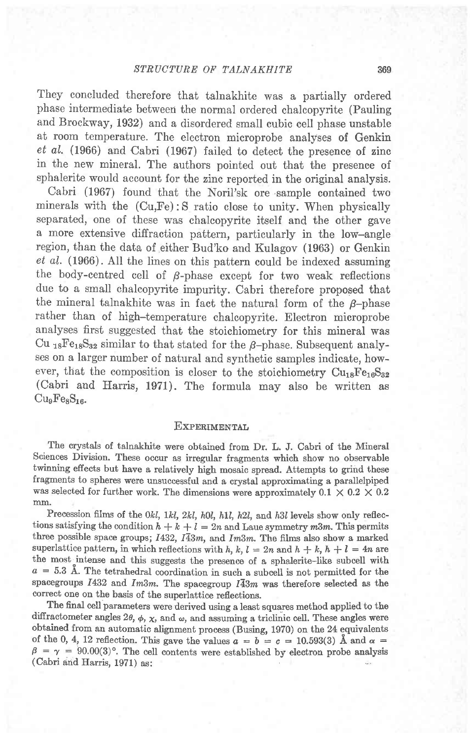They concluded therefore that talnakhite was a partially ordered phase intermediate betweeri the normal ordered chalcopyrite (Pauling and Brockway, 1932) and a disordered small cubic cell phase unstable at room temperature. The electron microprobe analyses of Genkin et aL. (1966) and Cabri (1967) failed to detect the presence of zinc in the new mineral. The authors pointed out that the presence of sphalerite would account for the zinc reported in the original analysis.

Cabri (1967) found that the Noril'sk ore sample contained two minerals with the (Cu,Fe): S ratio close to unity. When physically separated, one of these was chalcopyrite itself and the other gave a more extensive diffraction pattern, particularly in the low-angle region, than the data of either Bud'ko and Kulagov (1963) or Genkin et aI. (1966). All the lines on this pattern could be indexed assuming the body-centred cell of  $\beta$ -phase except for two weak reflections due to a small chalcopyrite impurity. Cabri therefore proposed that the mineral talnakhite was in fact the natural form of the  $\beta$ -phase rather than of high-temperature chalcopyrite. Electron microprobe analyses first suggested that the stoichiometry for this mineral was Cu <sub>18</sub>Fe<sub>18</sub>S<sub>32</sub> similar to that stated for the  $\beta$ -phase. Subsequent analyses on a larger number of natural and synthetic samples indicate, however, that the composition is closer to the stoichiometry  $\text{Cu}_{18}\text{Fe}_{16}\text{S}_{32}$ (Cabri and Harris, 1971). The formula may also be written as  $Cu<sub>9</sub>F<sub>ex</sub>S<sub>16</sub>$ 

### **EXPERIMENTAL**

The crystals of talnakhite were obtained from Dr. L. J. Cabri of the Mineral Sciences Division. These occur as irregular fragments which show no observable twinning effects but have a relatively high mosaic spread. Attempts to grind these fragments to spheres were unsuccessful and a crystal approximating a parallelpiped was selected for further work. The dimensions were approximately  $0.1 \times 0.2 \times 0.2$ mm.

Precession films of the 0kl, 1kl, 2kl, h0l, h1l, h2l, and h3l levels show only reflections satisfying the condition  $h + k + l = 2n$  and Laue symmetry m3m. This permits three possible space groups;  $I432$ ,  $I\overline{4}3m$ , and  $Im3m$ . The films also show a marked superlattice pattern, in which reflections with h, k,  $l = 2n$  and  $h + k$ ,  $h + l = 4n$  are the most intense and this suggests the presence of a sphalerite-like subcell with  $a = 5.3$  Å. The tetrahedral coordination in such a subcell is not permitted for the spacegroups  $I432$  and  $Im3m$ . The spacegroup  $I\overline{4}3m$  was therefore selected as the correct one on the basis of the superlattice reflections.

The final cell parameters were derived using a least squares method applied to the diffractometer angles 20,  $\phi$ ,  $\chi$ , and  $\omega$ , and assuming a triclinic cell. These angles were obtained from an automatic alignment process (Busing, 1970) on the 24 equivalents of the 0, 4, 12 reflection. This gave the values  $a = b = c = 10.593(3)$  Å and  $\alpha =$  $\beta = \gamma = 90.00(3)$ °. The cell contents were established by electron probe analysis (Cabri and Harris, 1971) as: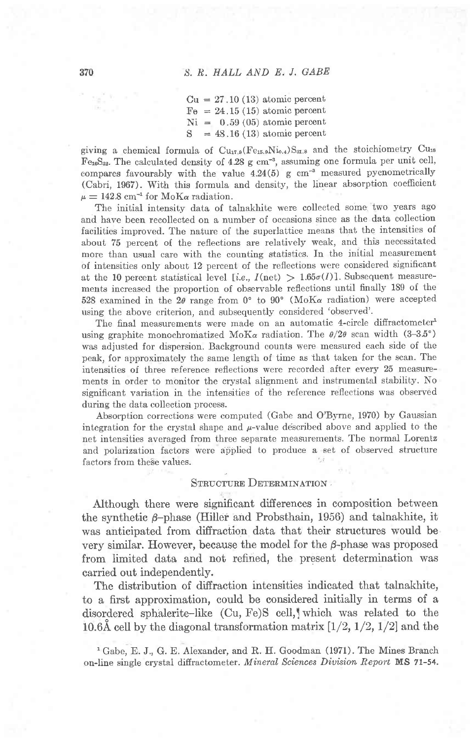$Cu = 27.10(13)$  atomic percent  $Fe = 24.15(15)$  atomic percent  $Ni = 0.59 (05)$  atomic percent<br> $S = 48.16 (13)$  atomic percent  $= 48.16(13)$  atomic percent

giving a chemical formula of  $Cu<sub>17.9</sub>(Fe<sub>15.9</sub>Ni<sub>0.4</sub>)S<sub>31.8</sub>$  and the stoichiometry Cu<sub>18</sub> Fe<sub>16</sub>S<sub>32</sub>. The calculated density of 4.28 g cm<sup>-3</sup>, assuming one formula per unit cell, compares favourably with the value  $4.24(5)$  g cm<sup>-3</sup> measured pycnometrically (Cabri, 1967). Wiih this formula and density, the linear absorption coefficient  $\mu = 142.8$  cm<sup>-1</sup> for MoK $\alpha$  radiation.

The initial intensity data of talnakhite were collected some: two years ago and have been recollected on a number of occasions since as the data collection facilities improved. The nature of the superlattice means that the intensities of about 75 percent of the reflections are relatively weak, and this necessitated more than usual care with the counting statistics. In the initial measurement of intensities only about 12 percent of the reflections were considered significant at the 10 percent statistical level [i,e.,  $I(\text{net}) > 1.65\sigma(I)$ ]. Subsequent measurements increased the proportion of observable reflections until finally 189 of the 528 examined in the  $2\theta$  range from  $0^{\circ}$  to  $90^{\circ}$  (MoK $\alpha$  radiation) were accepted using the above criterion, and subsequently considered'observed'.

The final measurements were made on an automatic 4-circle diffractometer<sup>1</sup> using graphite monochromatized MoK $\alpha$  radiation. The  $\theta/2\theta$  scan width (3-3.5°) was adjusted for dispersion. Background counts were measured each side of the peak, for approximately the same length of time as that taken for the scan. The intensities of three reference reflections were recorded after every 25 measurements in order to monitor the crystal alignment and insfrumental stability. No significant variation in the intensities of the reference reflections was observed during the data collection process.

Absorption corrections were computed (Gabe and O'Byrne, 1970) by Gaussian integration for the crystal shape and  $\mu$ -value described above and applied to the net intensities averaged from three separate measurements. The normal Lorentz and polarization factors were applied to produce a set of observed structure factors from these values.

## STRUCTURE DETERMINATION

Although there were significant differences in composition between the synthetic  $\beta$ -phase (Hiller and Probsthain, 1956) and talnakhite, it was anticipated from diffraction data that their structures would be very similar. However, because the model for the  $\beta$ -phase was proposed from limited data and not refined, the present determination was carried out independently.

The distribution of diffraction intensities indicated that talnakhite, to a first approximation, could be considered initially in terms of a disordered sphalerite-like (Cu, Fe)S cell, which was related to the 10.6Å cell by the diagonal transformation matrix  $[1/2,1/2,1/2]$  and the

<sup>1</sup> Gabe, E. J., G. E. Alexander, and R. H. Goodman (1971). The Mines Branch on-line single crystal diffractometer. Mineral Sciences Division Report MS 71-54.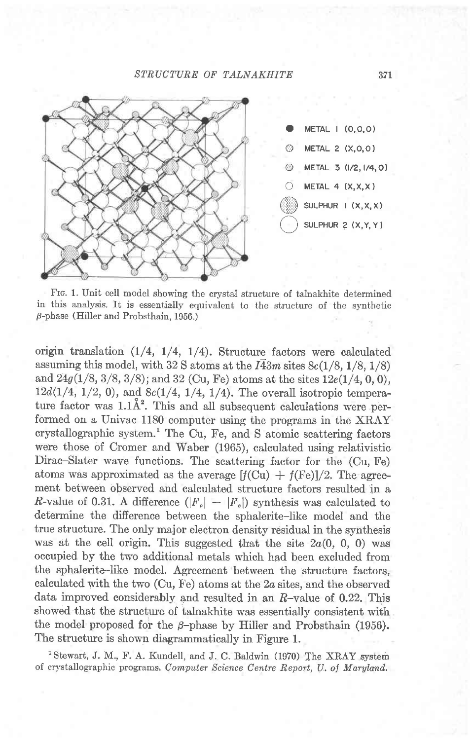## STRUCTURE OF TALNAKHITE



Frc. 1. Unit cell model showing the crystal structure of talnakhite determined in this analysis. It is essentially equivalent to the structure of the synthetic  $\beta$ -phase (Hiller and Probsthain, 1956.)

origin translation  $(1/4, 1/4, 1/4)$ . Structure factors were calculated assuming this model, with 32 S atoms at the  $I\overline{4}3m$  sites 8c(1/8, 1/8, 1/8) and  $24g(1/8, 3/8, 3/8)$ ; and  $32$  (Cu, Fe) atoms at the sites  $12e(1/4, 0, 0)$ ,  $12d(1/4, 1/2, 0)$ , and  $8c(1/4, 1/4, 1/4)$ . The overall isotropic temperature factor was  $1.1\AA^2$ . This and all subsequent calculations were performed on a Univac 1180 computer using the programs in the XRAY crystallographic system.' The Cu, Fe, and S atomic scattering factors were those of Cromer and Waber (1965), calculated using relativistic Dirac-Slater wave functions. The scattering factor for the (Cu, Fe) atoms was approximated as the average  $[f(Cu) + f(Fe)]/2$ . The agreement between observed and calculated structure factors resulted'in a *R*-value of 0.31. A difference  $(|F_{\rm e}| - |F_{\rm c}|)$  synthesis was calculated to determine the difference between the sphalerite-Iike model and the true structure. The only major electron density residual in the synthesis was at the cell origin. This suggested that the site  $2a(0, 0, 0)$  was occupied by the two additional metals which had been excluded from the sphalerite-like model. Agreement between the structure factors, calculated with the two  $(Cu, Fe)$  atoms at the  $2a$  sites, and the observed data improved considerably and resulted in an  $R$ -value of 0.22. This showed that the structure of talnakhite was essentiallv consistent with the model proposed for the  $\beta$ -phase by Hiller and Probsthain (1956). The structure is shown diagrammatically in Figure 1.

'Stewart, J. M., F. A. Kundell, and J. C. Baldwin (1970) The XRAY system of crystallographic programs. Computer Science Centre Report, U. of Maryland.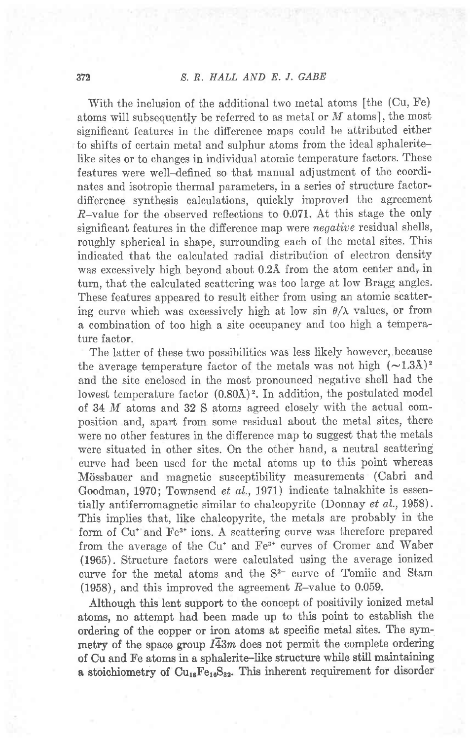With the inclusion of the additional two metal atoms [the (Cu, Fe) atoms will subsequently be referred to as metal or  $M$  atoms], the most significant features in the difference maps could be attributed either to shifts of certain metal and sulphur atoms from the ideal sphaleritelike sites or to changes in individual atomic temperature factors. These features were well-defined so that manual adjustment of the coordinates and isotropic thermal parameters, in a series of structure factordifference synthesis calculations, quickly improved the agreement  $R$ -value for the observed reflections to 0.071. At this stage the only significant features in the difference map were *negative* residual shells, roughly spherical in shape, surrounding each of the metal sites. This indicated that the calculated radial distribution of electron density was excessively high beyond about  $0.2$ Å from the atom center and, in turn, that the calculated scattering was too large at low Bragg angles. These features appeared to result either from using an atomic scattering curve which was excessively high at low sin  $\theta/\lambda$  values, or from a combination of too high a site occupancy and too high a temperature factor.

The latter of these two possibilities was less likely however, because the average temperature factor of the metals was not high  $(-1.3\text{\AA})^2$ and the site enclosed in the most pronounced negative shell had the lowest temperature factor  $(0.80\text{\AA})^2$ . In addition, the postulated model of. 34 M atoms and 32 S atoms agreed closely with the actual composition and, apart from some residual about the metal sites, there were no other features in the difference map to suggest that the metals were situated in other sites. On the other hand, a neutral scattering euwe had been used for the metal atoms up to this point whereas Mössbauer and magnetic susceptibility measurements (Cabri and Goodman, 1970; Townsend et al., 1971) indicate talnakhite is essentially antiferromagnetic similar to chalcopyrite (Donnay et al., 1958). This implies that, like chalcopyrite, the metals are probably in the form of Cu<sup>+</sup> and Fe<sup>3+</sup> ions. A scattering curve was therefore prepared from the average of the Cu<sup>+</sup> and Fe<sup>3+</sup> curves of Cromer and Waber (1965). Structure factors were calculated using the average ionized curve for the metal atoms and the S<sup>2-</sup> curve of Tomiie and Stam  $(1958)$ , and this improved the agreement  $R$ -value to 0.059.

Although this lent support to the concept of positivily ionized metal atoms, no attempt had been made up to this point to establish the ordering of the copper or iron atoms at specific metal sites. The symmetry of the space group  $I\overline{4}3m$  does not permit the complete ordering of Cu and Fe atoms in a sphalerite-like structure while still maintaining a stoichiometry of  $\text{Cu}_{18}\text{Fe}_{16}\text{S}_{32}$ . This inherent requirement for disorder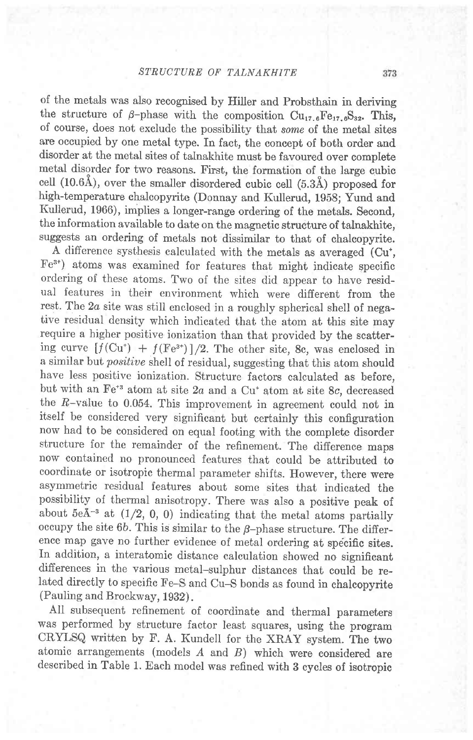of the metals was also recognised by Hiller and Probsthain in deriving the structure of  $\beta$ -phase with the composition Cu<sub>17.6</sub>Fe<sub>17.6</sub>S<sub>32</sub>. This, of course, does not exclude the possibility that some of the metal sites are occupied by one metal type. In fact, the concept of both order and disorder at the metal sites of talnakhite must be favoured over complete metal disorder for two reasons. First, the formation of the large cubic cell  $(10.6\text{Å})$ , over the smaller disordered cubic cell  $(5.3\text{Å})$  proposed for high-temperature chalcopyrite (Donnay and Kullerud, 1958; Yund and Kullerud, 1966), implies a longer-range ordering of the metals. Second, the information available to date on the magnetic structure of talnakhite, suggests an ordering of metals not dissimilar to that of chalcopyrite.

A difference systhesis calculated with the metals as averaged (Cu<sup>+</sup>, Fe3\*) atoms was examined for features that might indicate specific ordering of these atoms. Two of the sites did appear to have residual features in their environment which were different from the rest. The 2a site was still enclosed in a roughly spherical shell of negative residual density which indicated that the atom at this site may require a higher positive ionization than that provided by the scattering curve  $\left[\frac{f(Cu^*) + f(Fe^{3})}{2} \right]$ . The other site, 8c, was enclosed in a similar but *positive* shell of residual, suggesting that this atom should have less positive ionization. Structure factors calpulated as before, but with an  $Fe^{*3}$  atom at site  $2a$  and a Cu<sup>+</sup> atom at site 8c, decreased the R-value to 0.054. This improvement in agreement could not in itself be considered very significant but certainly this configuration now had to be considered on equal footing with the complete disorder structure for the remainder of the refinement. The difference maps now contained no pronounced features that could be attributed to coordinate or isotropic thermal parameter shifts. However, there were asymmetric residual features about some sites that indicated the possibility of thermal anisotropy. There was also a positive peak of about  $5e\AA^{-3}$  at  $(1/2, 0, 0)$  indicating that the metal atoms partially occupy the site  $6b$ . This is similar to the  $\beta$ -phase structure. The difference map gave no further evidence of metal ordering at specific sites. In addition, a interatomic distance calculation showed no significant differences in the various metal-sulphur distances that could be related directly to specific Fe-S and Cu-S bonds as found in chalcopyrite (Pauling and Brockway, 1932).

All subsequent refinement of coordinate and thermal parameters was performed by structure factor least squares, using the program CRYLSQ written by F. A. Kundell for the XRAY system. The two atomic arrangements (models  $A$  and  $B$ ) which were considered are described in Table 1. Each model was refined with 3 cycles of isotropic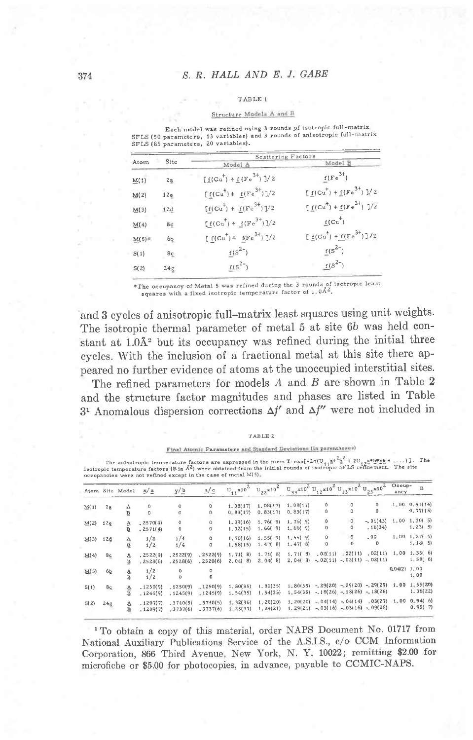### T.AB LE I

### Structure Models A and B

Each modet was refibed using 3 rounds of isotropic full-matrix SFLS (50 parameters, 13 variables) and 3 rounds of anisotropic full-matrix SFLS (85 parameters, 20 Yariables).

|     | Scattering Factors                                          |                                                                              |  |  |  |  |
|-----|-------------------------------------------------------------|------------------------------------------------------------------------------|--|--|--|--|
|     | Model A                                                     | Model B                                                                      |  |  |  |  |
| 2a  | $[\underline{f}(Cu^{+}) + \underline{f}(Fe^{3+})]/2$        | $f(Fe^{3+})$                                                                 |  |  |  |  |
| 12e | $[f(Cu^{+}) + f(Fe^{3+})]/2$                                | $[\underline{f}(Cu^{+}) + \underline{f}(Fe^{3+})]/2$                         |  |  |  |  |
| 12d | $\underline{f}(Cu^{+}) + \underline{f}(Fe^{3+})\frac{1}{2}$ | $[f(Cu^{+}) + f(Fe^{3+})]/2$                                                 |  |  |  |  |
| 8c  | $[f(Cu^{+}) + f(Fe^{3+})]/2$                                | $f(Cu^+)$                                                                    |  |  |  |  |
| 6b  | $[f(Cu^+)+f(Fe^{3})]/2$                                     | $[\underline{f}(\mathrm{Cu}^{\dagger}) + \underline{f}(\mathrm{Fe}^{3+})]/2$ |  |  |  |  |
| 8c  | $f(S^{2-})$                                                 | $f(s^{2-})$                                                                  |  |  |  |  |
| 24g | $f(S^{2-})$                                                 | $f(S^{2-})$                                                                  |  |  |  |  |
|     | Site                                                        |                                                                              |  |  |  |  |

\*The occupancy of Metal 5 was refined during the 3 rounds of isotropic least squares with a fixed isotropic temperature factor of 1.0 $\AA^2$ .

and 3 cycles of anisotropic full-matrix least squares using unit weights. The isotropic thermal parameter of metal 5 at site 6b was held constant at 1.0Å<sup>2</sup> but its occupancy was refined during the initial three cycles. with the inclusion of a fractional metal at this site there appeared no further evidence of atoms at the unoccupied interstitial sites.

The refined parameters for models  $A$  and  $B$  are shown in Table 2 and the structure factor magnitudes and phases are listed in Table  $3<sup>1</sup>$  Anomalous dispersion corrections  $\Delta f'$  and  $\Delta f''$  were not included in

#### TABLE 2

### Final Atomic Parameters and Standard Devisions (in parentheses)

The anisotropic temperature factors are expressed in the form T=exp[-2 $\pi$ (U<sub>jj</sub>a\* $\frac{h}{n}$ <sup>+</sup> + 2U<sub>jj</sub>a\* $\frac{h}{2}$ \*hi, ....)]. The<br>isotropic temperature factors (B in A<sup>2</sup>) were obtained from the initial rounds of isotrop

|      |                | Atom Site Model                 | <u>х/а</u>                       | y/b                                         | $2/\epsilon$                    |                                   | $U_{11} \times 10^{2} U_{22} \times 10^{2} U_{33} \times 10^{2} U_{12} \times 10^{2} U_{13} \times 10^{2} U_{23} \times 10^{2}$ |                                |                             |                               |                                                                        | Occup-<br>ancy | B                           |
|------|----------------|---------------------------------|----------------------------------|---------------------------------------------|---------------------------------|-----------------------------------|---------------------------------------------------------------------------------------------------------------------------------|--------------------------------|-----------------------------|-------------------------------|------------------------------------------------------------------------|----------------|-----------------------------|
| M(1) | 2a             | $\frac{\mathbb{A}}{\mathbb{B}}$ | $\circ$                          | $\begin{smallmatrix}0\0\0\end{smallmatrix}$ | $\mathbf{0}$                    | 1.08(17)                          | 1.08(17)                                                                                                                        | 1,08(17)                       | 0<br>$\mathbf 0$            | $\Omega$                      | 0<br>$\mathbf 0$                                                       | $1 - 00$       | 0, 91(14)<br>0.77(15)       |
| M(2) | 12e            | A<br>в                          | $\circ$<br>, 2570(4)<br>.2571(4) | 0<br>$\circ$                                | $\Omega$<br>0<br>$\theta$       | 0.83(17)<br>1.39(16)<br>1, 32(15) | 0, 83(17)<br>1,76(9)<br>1,66(9)                                                                                                 | 0.83(17)<br>1,76(9)<br>1,66(9) | $\mathbf 0$<br>$\mathbf{o}$ | $\theta$<br>$\ddot{\text{o}}$ | $-0.1(43)$<br>, 16(34)                                                 |                | 1, 00, 1, 30(5)<br>1, 23(5) |
| M(3) | 12d            | A<br>B                          | 1/2<br>1/2                       | 1/4<br>1/4                                  | $\bf{0}$<br>$\ddot{\mathbf{0}}$ | 1, 70(16)<br>1, 58(15)            | 1,55(9)<br>1, 47(8)                                                                                                             | 1, 55(9)<br>1,47(8)            | $\bf{0}$<br>$\bf{0}$        | $\Omega$<br>$\Omega$          | .00<br>$\Omega$                                                        |                | $1:00$ 1.27(5)<br>1, 18(5)  |
| M(4) | 8c             | V<br>в                          | .2522(9)<br>.2528(6)             | .2522(9)<br>, 2528(6)                       | .2522(9)<br>, 2528(6)           | 1, 71(8)<br>2,04(8)               | 1.71(8)<br>2,04(8)                                                                                                              | 1, 71(8)<br>2, 04(8)           | .02(11)                     |                               | .02(11) .02(11)<br>$-0.02(11) - 0.02(11) - 0.02(11)$                   | $1 - 00$       | 1, 33(6)<br>1,58(6)         |
| M(5) | 6 <sub>b</sub> | $\underline{\mathbb{A}}$<br>B   | 1/2<br>1/2                       | $\circ$<br>$\theta$                         | o                               |                                   |                                                                                                                                 |                                |                             |                               |                                                                        | 0.04(2)        | 1.00<br>1.00                |
| S(1) | 8c             | A<br>$\overline{B}$             | .1250(9)<br>.1245(9)             | $-1250(9)$<br>.1245(9)                      | $-1250(9)$<br>1245(9)           | 1, 80(35)<br>1, 54(35)            | 1,80(35)<br>1, 54(35)                                                                                                           | 1.80(35)<br>1.54(35)           |                             |                               | $-29(20) - 29(20) - 29(29)$<br>$-18(26) - 18(26) - 18(26)$             | 1.00           | 1, 55(20)<br>1.36(22)       |
| S(2) | 24g<br>s       | ◬<br>в                          | .1207(7)<br>, 1209(7)            | .3740(5)<br>$-3737(6)$                      | .3740(5)<br>.3737(6)            | 1, 32(36)<br>1, 23(37)            | 1, 20(20)<br>1, 29(21)                                                                                                          | 1, 20(20)<br>1, 29(21)         |                             |                               | $-0.04(14) - 0.04(14) - 0.03(27)$<br>$-0.03(16) - 0.03(16) - 0.09(28)$ | $1 - 00$       | 0.94(6)<br>0, 95(7)         |

<sup>1</sup> To obtain a copy of this material, order NAPS Document No. 01717 from National Auxiliary Publications Service of the A.S.I.S., c/o CCM Information Corporation, 866 Third Avenue, New York, N. Y. 10022; remitting \$2.00 for microfiche or \$5.00 for photocopies, in advance, payable to CCMIC-NAPS.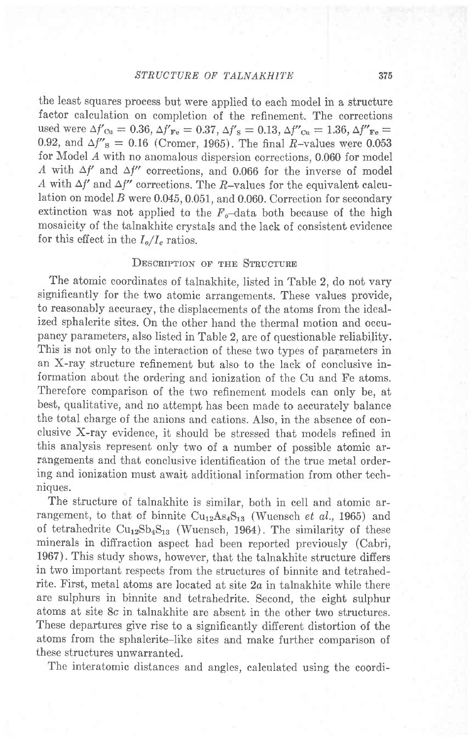the least squares process but were applied to each model in a structure factor calculation on completion of the refinement. The corrections used were  $\Delta f'_{\text{Cu}} = 0.36, \Delta f'_{\text{Fe}} = 0.37, \Delta f'_{\text{S}} = 0.13, \Delta f''_{\text{Cu}} = 1.36, \Delta f''_{\text{Fe}} =$ 0.92, and  $\Delta f$ 's = 0.16 (Cromer, 1965). The final R-values were 0.053 for Model  $A$  with no anomalous dispersion corrections, 0.060 for model A with  $\Delta f'$  and  $\Delta f''$  corrections, and 0.066 for the inverse of model A with  $\Delta f'$  and  $\Delta f''$  corrections. The R-values for the equivalent calculation on model  $B$  were 0.045, 0.051, and 0.060. Correction for secondary extinction was not applied to the  $F_o$ -data both because of the high mosaicity of the talnakhite crystals and the lack of consistent evidence for this effect in the  $I_o/I_c$  ratios.

# DESCRIPTION OF THE STRUCTURE

The atomic coordinates of talnakhite, listed in Table 2, do not vary significantly for the two atomic arrangements. These values provide, to reasonably accuracy, the displacements of the atoms from the idealized sphalerite sites. On the other hand the thermal motion and occupancy parameters, also listed in Table 2, are of questionable reliability. This is not only to the interaction of these two types of parameters in an X-ray structure refinement but also to the lack of conclusive information about the ordering and ionization of the Cu and Fe atoms. Therefore comparison of the two refinement models can only be, at best, qualitative, and no attempt has been made to accurately balance the total charge of the anions and cations. Also, in the absence of conclusive X-ray evidence, it should be stressed that models refined in this analysis represent only two of a number of possible atomic arrangements and that conclusive identification of the true metal ordering and ionization must await additional information from other techniques.

The structure of talnakhite is similar, both in cell and atomic arrangement, to that of binnite  $Cu_{12}As_{4}S_{13}$  (Wuensch et al., 1965) and of tetrahedrite  $Cu_{12}Sb_{4}S_{13}$  (Wuensch, 1964). The similarity of these minerals in diffraction aspect had been reported previously (Cabri, 1967). This study shows, however, that the talnakhite structure differs in two important respects from the structures of binnite and tetrahedrite. First, metal atoms are located at site  $2a$  in talnakhite while there are sulphurs in binnite and tetrahedrite. Second, the eight sulphur atoms at site 8c in talnakhite are absent in the other two structures. These depariures give rise to a significantly different distortion of the atoms from the sphalerite-like sites and make further comparison of these structures unwarranted.

The interatomic distances and angles, calculated using the coordi-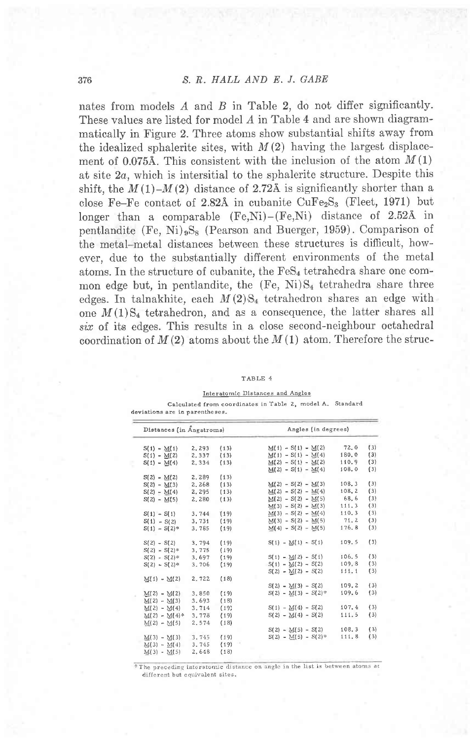nates from models A and B in Table 2, do not differ significantly. These values are listed for model  $A$  in Table 4 and are shown diagrammatically in Figure 2. Three atoms show substantial shifts away from the idealized sphalerite sites, with  $M(2)$  having the largest displacement of 0.075Å. This consistent with the inclusion of the atom  $M(1)$ at site  $2a$ , which is intersitial to the sphalerite structure. Despite this shift, the  $M(1)-M(2)$  distance of 2.72Å is significantly shorter than a close Fe-Fe contact of 2.82Å in cubanite  $CuFe<sub>2</sub>S<sub>3</sub>$  (Fleet, 1971) but longer than a comparable  $(F_{e},Ni) - (Fe,N_i)$  distance of 2.52Å in pentlandite (Fe, Ni)<sub>9</sub>S<sub>8</sub> (Pearson and Buerger, 1959). Comparison of the metal-metal distances between these structures is difficult, however, due to the substantially different environments of the metal atoms. In the structure of cubanite, the  $\text{FeS}_4$  tetrahedra share one common edge but, in pentlandite, the  $(F_{e}, N_i)S_4$  tetrahedra share three edges. In talnakhite, each  $M(2)S_4$  tetrahedron shares an edge with one  $M(1)S<sub>4</sub>$  tetrahedron, and as a consequence, the latter shares all six of its edges. This results in a close second-neighbour octahedral coordination of  $M(2)$  atoms about the  $M(1)$  atom. Therefore the struc-

### TABLE 4

### Interatomic Distances and Angles

Calculated from coordinates in Table 2, model A. Standard deviations are in parentheses-

| Distances (in Angstroms) |       |      |  | Angles (in degrees)  |        |     |  |  |
|--------------------------|-------|------|--|----------------------|--------|-----|--|--|
| $S(1) - M(1)$            | 2.293 | (13) |  | $M(1) - S(1) - M(2)$ | 72,0   | (3) |  |  |
| $S(1) - M(2)$            | 2,337 | (13) |  | $M(1) - S(1) - M(4)$ | 180.0  | (3) |  |  |
| $S(1) - M(4)$            | 2.334 | (13) |  | $M(2) - S(1) - M(2)$ | 110.9  | (3) |  |  |
|                          |       |      |  | $M(2) - S(1) - M(4)$ | 108.0  | (3) |  |  |
| $S(2) - M(2)$            | 2.289 | (13) |  |                      |        |     |  |  |
| $S(2) - M(3)$            | 2.268 | (13) |  | $M(2) - S(2) - M(3)$ | 108, 3 | (3) |  |  |
| $S(2) - M(4)$            | 2.295 | (13) |  | $M(2) - S(2) - M(4)$ | 108.2  | (3) |  |  |
| $S(2) - M(5)$            | 2,280 | (13) |  | $M(2) - S(2) - M(5)$ | 68.6   | (3) |  |  |
|                          |       |      |  | $M(3) - S(2) - M(3)$ | 111.3  | (3) |  |  |
| $S(1) - S(1)$            | 3,744 | (19) |  | $M(3) - S(2) - M(4)$ | 110.3  | (3) |  |  |
| $S(1) - S(2)$            | 3,731 | (19) |  | $M(3) - S(2) - M(5)$ | 71.2   | (3) |  |  |
| $S(1) - S(2)$ *          | 3.785 | (19) |  | $M(4) - S(2) - M(5)$ | 176.8  | (3) |  |  |
| $S(2) - S(2)$            | 3.794 | (19) |  | $S(1) - M(1) - S(1)$ | 109.5  | (3) |  |  |
| $S(2) - S(2)$ *          | 3,775 | (19) |  |                      |        |     |  |  |
| $S(2) - S(2)$ *          | 3,697 | (19) |  | $S(1) - M(2) - S(1)$ | 106.5  | (3) |  |  |
| $S(2) - S(2)*$           | 3.706 | (19) |  | $S(1) - M(2) - S(2)$ | 109.8  | (3) |  |  |
|                          |       |      |  | $S(2) - M(2) - S(2)$ | 111.1  | (3) |  |  |
| $M(1) - M(2)$            | 2.722 | (18) |  |                      |        |     |  |  |
|                          |       |      |  | $S(2) - M(3) - S(2)$ | 109.2  | (3) |  |  |
| $M(2) - M(2)$            | 3,850 | (19) |  | $S(2) - M(3) - S(2)$ | 109.6  | (3) |  |  |
| $M(2) - M(3)$            | 3.693 | (18) |  |                      |        |     |  |  |
| $M(2) - M(4)$            | 3,714 | (19) |  | $S(1) - M(4) - S(2)$ | 107.4  | (3) |  |  |
| $M(2) - M(4)*$           | 3.778 | (19) |  | $S(2) - M(4) - S(2)$ | 111.5  | (3) |  |  |
| $M(2) - M(5)$            | 2.574 | (18) |  |                      |        |     |  |  |
|                          |       |      |  | $S(2) - M(5) - S(2)$ | 108.3  | (3) |  |  |
| $M(3) - M(3)$            | 3,745 | (19) |  | $S(2) - M(5) - S(2)$ | 111.8  | (3) |  |  |
| $M(3) - M(4)$            | 3,745 | (19) |  |                      |        |     |  |  |
| $M(3) - M(5)$            | 2,648 | (18) |  |                      |        |     |  |  |

\*The preceding interatomic distance on angle in the list is between atoms at different but cquivalent sites.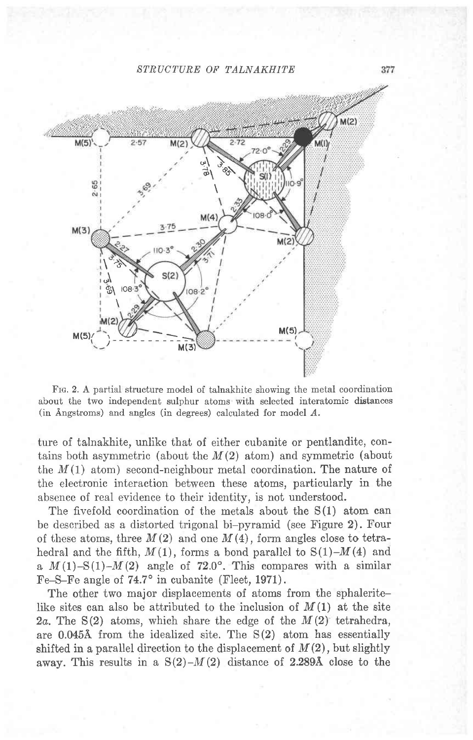## STRUCTURE OF TALNAKHITE



Frc. 2. A partial structure model of talnakhite showing the metal coordination about the two independent sulphur atoms with selected interatomic distances (in Angstroms) and angles (in degrees) calculated for model  $A$ .

ture of talnakhite, unlike that of either cubanite or pentlandite, contains both asymmetric (about the  $M(2)$  atom) and symmetric (about the  $M(1)$  atom) second-neighbour metal coordination. The nature of the electronic interaction between these atoms, particularly in the absence of real evidence to their identity, is not understood.

The fivefold coordination of the metals about the S(1) atom can be described as a distorted trigonal bi-pyramid (see Figure 2). Four of these atoms, three  $M(2)$  and one  $M(4)$ , form angles close to tetrahedral and the fifth,  $M(1)$ , forms a bond parallel to  $S(1)-M(4)$  and a  $M(1)$ -S(1)- $M(2)$  angle of 72.0°. This compares with a similar Fe-S-Fe angle of 74.7° in cubanite (Fleet, 1971).

The other two major displacements of atoms from the sphaleritelike sites can also be attributed to the inclusion of  $M(1)$  at the site 2a. The  $S(2)$  atoms, which share the edge of the  $M(2)$  tetrahedra, are 0.0454 from the idealized site. The S(2) atom has essentially shifted in a parallel direction to the displacement of  $M(2)$ , but slightly away. This results in a  $S(2)-M(2)$  distance of 2.289Å close to the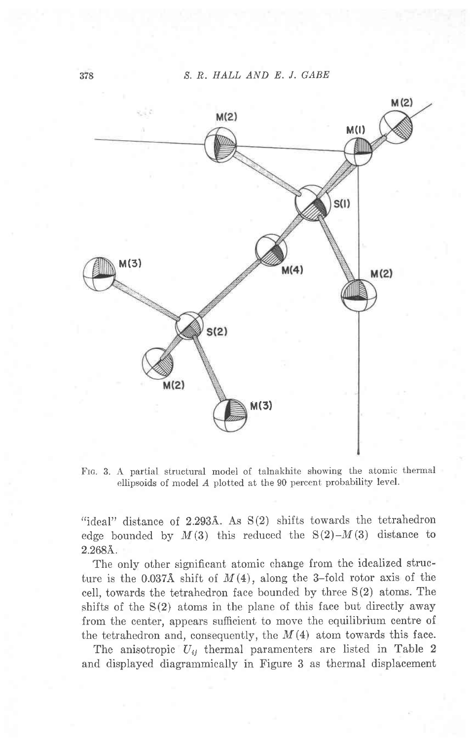

Fra. 3. A partial structural model of talnakhite showing the atomic thermal ellipsoids of model A plotted at the 90 percent probability level.

"ideal" distance of  $2.293\text{\AA}$ . As  $S(2)$  shifts towards the tetrahedron edge bounded by  $M(3)$  this reduced the  $S(2)-M(3)$  distance to  $2.268$ Å.

The only other sipificant atomic change from the idealized structure is the 0.037Å shift of  $M(4)$ , along the 3-fold rotor axis of the cell, towards the tetrahedron face bounded by three S(2) atoms. The shifts of the  $S(2)$  atoms in the plane of this face but directly away from the center, appears sufficient to move the equilibrium centre of the tetrahedron and, consequently, the  $M(4)$  atom towards this face.

The anisotropic  $U_{ij}$  thermal paramenters are listed in Table 2 and displayed diagrammically in Figure 3 as thermal displacement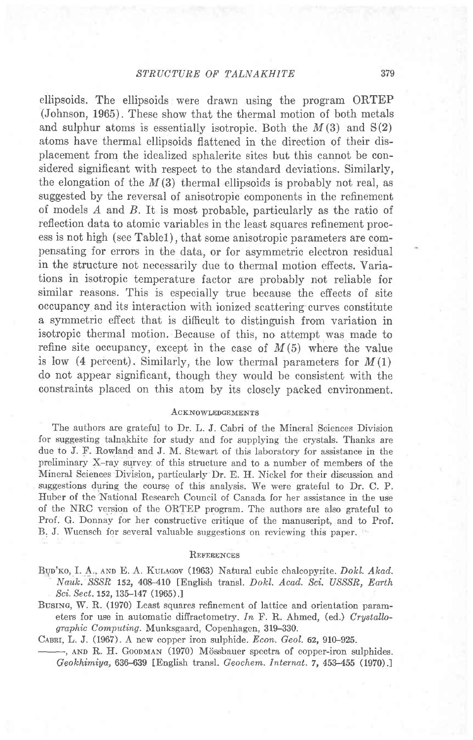ellipsoids. The ellipsoids were drawn using the program ORTEP (Johnson, 1965). These show that the thermal motion of both metals and sulphur atoms is essentially isotropic. Both the  $M(3)$  and  $S(2)$ atoms have thermal ellipsoids flattened in the direction of their displacement from the idealized sphalerite sites but this cannot be considered significant with respect to the standard deviations. Similarly, the elongation of the  $M(3)$  thermal ellipsoids is probably not real, as suggested by the reversal of anisotropic components in the refinement of models A and B. It is most probable, particularly as the ratio of reflection data to atomic variables in the least squares refinement process is not high (see Tablel), that some anisotropic parameters are compensating for errors in the data, or for asymmetric electron residual in the structure not necessarily due to thermal motion effects. Variations in isotropic temperature factor are probably not reliable for similar reasons. This is especially true because the effects of site occupancy and its interaction with ionized scattering curves constitute a symmetric effect that is difficult to distinguish from variation in isotropic thermal motion. Because of this, no attempt was made to refine site occupancy, except in the case of  $M(5)$  where the value is low (4 percent). Similarly, the low thermal parameters for  $M(1)$ do not appear significant, though they would be consistent with the constraints placed on this atom by its closely packed environment.

## ACKNOWLEDGEMENTS

The authors are grateful to Dr. L. J. Cabri of the Mineral Sciences Division for suggesting talnakhite for study and for supplying the crystals. Thanks are due to J. F. Rowland and J. M. Stewart of this laboratory for assistance in the preliminary X-ray survey of this structure and to a number of members of the Mineral Sciences Division, particularly Dr. E. H. Nickel for their discussion and suggestions during the course of this analysis. We were grateful to Dr. C. P. Huber of the'National Research Council of Canada for her assistance in the use of the NRC version of the ORTEP program. The authors are aiso grateful to Prof. G. Donnay for her constructive critique of the manuscript, and to Prof. B. J. Wuensch for several valuable suggestions on reviewing this paper.

### REFERENCES

- BUD'KO, I. A., AND E. A. KULAGOV (1963) Natural cubic chalcopyrite. Dokl. Akad.<br>Nauk. SSSR 152, 408-410 [English transl. Dokl. Acad. Sci. USSSR, Earth Sci. Sect. 152, 135-147 (1965).]
- Busing, W. R. (1970) Least squares refinement of lattice and orientation parameters for use in automatic diffractometry. In F. R. Ahmed, (ed.) Crystallographic Computing. Munksgaard, Copenhagen, 319-330.

CABRI, L. J. (1967). A new copper iron sulphide. Econ. Geol. 62, 910-925.

-, AND R. H. GOODMAN (1970) Mössbauer spectra of copper-iron sulphides. Geokhimiya, 636-639 [English transl. Geochem. Internat. 7, 453-455 (1970).]